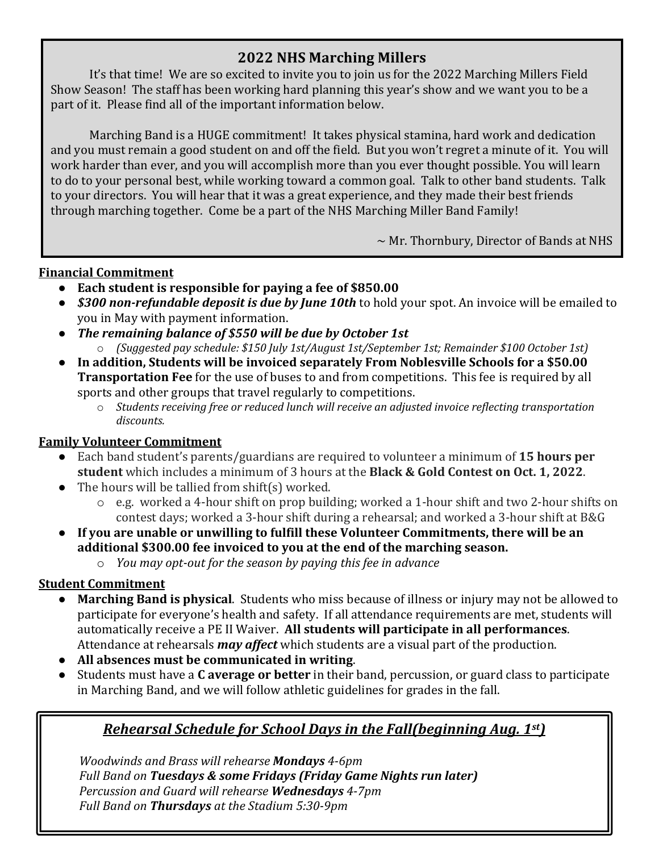## **2022 NHS Marching Millers**

It's that time! We are so excited to invite you to join us for the 2022 Marching Millers Field Show Season! The staff has been working hard planning this year's show and we want you to be a part of it. Please find all of the important information below.

Marching Band is a HUGE commitment! It takes physical stamina, hard work and dedication and you must remain a good student on and off the field. But you won't regret a minute of it. You will work harder than ever, and you will accomplish more than you ever thought possible. You will learn to do to your personal best, while working toward a common goal. Talk to other band students. Talk to your directors. You will hear that it was a great experience, and they made their best friends through marching together. Come be a part of the NHS Marching Miller Band Family!

 $\sim$  Mr. Thornbury, Director of Bands at NHS

### **Financial Commitment**

- Each student is responsible for paying a fee of \$850.00 *You will respect to the season of the season in the season of the season of the season of the season of the season of the season of the season of the season of the season of the season of the season of the season of the*
- **\$300 non-refundable deposit is due by June 10th** to hold your spot. An invoice will be emailed to you in May with payment information.
- The remaining balance of \$550 will be due by October 1st
	- o *(Suggested pay schedule: \$150 July 1st/August 1st/September 1st; Remainder \$100 October 1st)*
- In addition, Students will be invoiced separately From Noblesville Schools for a \$50.00 **Transportation Fee** for the use of buses to and from competitions. This fee is required by all sports and other groups that travel regularly to competitions.
	- o Students receiving free or reduced lunch will receive an adjusted invoice reflecting transportation *discounts.*

### **Family Volunteer Commitment**

- Each band student's parents/guardians are required to volunteer a minimum of 15 hours per **student** which includes a minimum of 3 hours at the **Black & Gold Contest on Oct. 1, 2022.**
- $\bullet$  The hours will be tallied from shift(s) worked.
	- $\circ$  e.g. worked a 4-hour shift on prop building; worked a 1-hour shift and two 2-hour shifts on contest days; worked a 3-hour shift during a rehearsal; and worked a 3-hour shift at B&G
- **•** If you are unable or unwilling to fulfill these Volunteer Commitments, there will be an additional \$300.00 fee invoiced to you at the end of the marching season.
	- o *You may opt-out for the season by paying this fee in advance*

## **Student Commitment**

- **Marching Band is physical**. Students who miss because of illness or injury may not be allowed to participate for everyone's health and safety. If all attendance requirements are met, students will automatically receive a PE II Waiver. All students will participate in all performances. Attendance at rehearsals *may affect* which students are a visual part of the production.
- All absences must be communicated in writing.
- Students must have a **C average or better** in their band, percussion, or guard class to participate in Marching Band, and we will follow athletic guidelines for grades in the fall.

# *Rehearsal Schedule for School Days in the Fall(beginning Aug. 1st)*

*Woodwinds and Brass will rehearse Mondays 4-6pm Full Band on Tuesdays & some Fridays (Friday Game Nights run later) Percussion and Guard will rehearse Wednesdays 4-7pm Full Band on Thursdays at the Stadium 5:30-9pm*